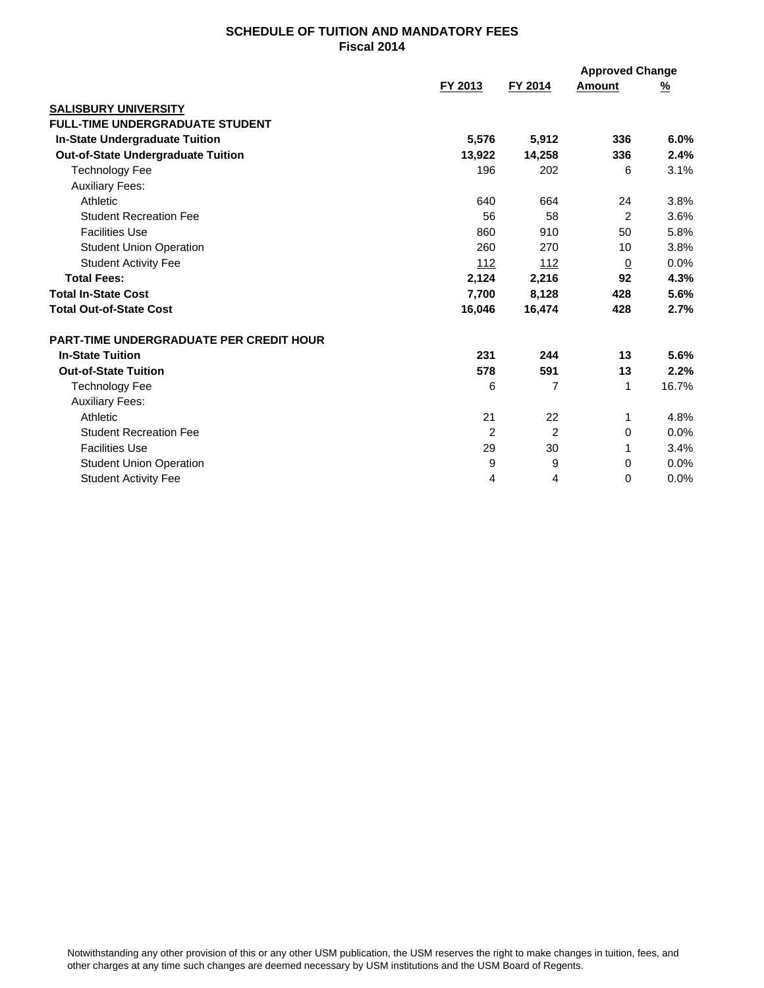## **SCHEDULE OF TUITION AND MANDATORY FEES Fiscal 2014**

|                                                |                |                | <b>Approved Change</b> |          |
|------------------------------------------------|----------------|----------------|------------------------|----------|
|                                                | FY 2013        | FY 2014        | Amount                 | <u>%</u> |
| <b>SALISBURY UNIVERSITY</b>                    |                |                |                        |          |
| <b>FULL-TIME UNDERGRADUATE STUDENT</b>         |                |                |                        |          |
| <b>In-State Undergraduate Tuition</b>          | 5,576          | 5,912          | 336                    | 6.0%     |
| <b>Out-of-State Undergraduate Tuition</b>      | 13,922         | 14,258         | 336                    | 2.4%     |
| <b>Technology Fee</b>                          | 196            | 202            | 6                      | 3.1%     |
| <b>Auxiliary Fees:</b>                         |                |                |                        |          |
| Athletic                                       | 640            | 664            | 24                     | 3.8%     |
| <b>Student Recreation Fee</b>                  | 56             | 58             | 2                      | 3.6%     |
| <b>Facilities Use</b>                          | 860            | 910            | 50                     | 5.8%     |
| <b>Student Union Operation</b>                 | 260            | 270            | 10                     | 3.8%     |
| <b>Student Activity Fee</b>                    | 112            | 112            | $\overline{0}$         | 0.0%     |
| <b>Total Fees:</b>                             | 2,124          | 2,216          | 92                     | 4.3%     |
| <b>Total In-State Cost</b>                     | 7,700          | 8,128          | 428                    | 5.6%     |
| <b>Total Out-of-State Cost</b>                 | 16,046         | 16,474         | 428                    | 2.7%     |
| <b>PART-TIME UNDERGRADUATE PER CREDIT HOUR</b> |                |                |                        |          |
| <b>In-State Tuition</b>                        | 231            | 244            | 13                     | 5.6%     |
| <b>Out-of-State Tuition</b>                    | 578            | 591            | 13                     | 2.2%     |
| <b>Technology Fee</b>                          | 6              | $\overline{7}$ | 1                      | 16.7%    |
| <b>Auxiliary Fees:</b>                         |                |                |                        |          |
| Athletic                                       | 21             | 22             | 1                      | 4.8%     |
| <b>Student Recreation Fee</b>                  | $\overline{2}$ | $\overline{2}$ | 0                      | 0.0%     |
| <b>Facilities Use</b>                          | 29             | 30             | 1                      | 3.4%     |
| <b>Student Union Operation</b>                 | 9              | 9              | 0                      | 0.0%     |
| <b>Student Activity Fee</b>                    | 4              | 4              | $\Omega$               | 0.0%     |
|                                                |                |                |                        |          |